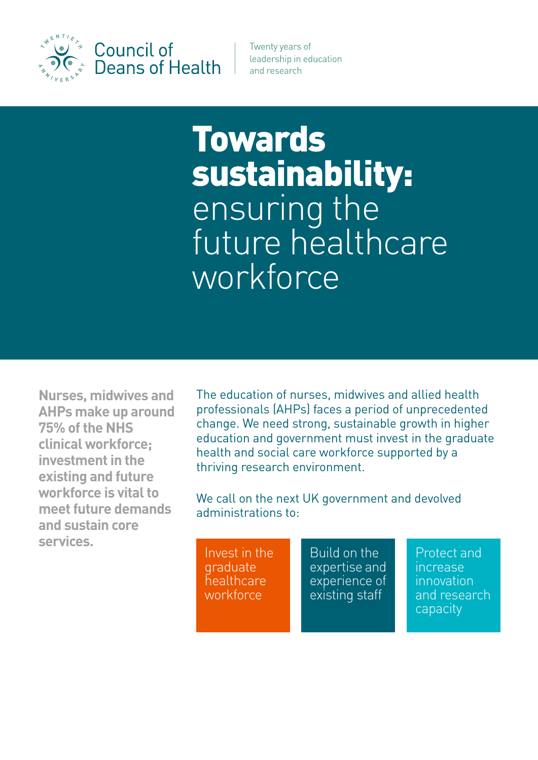

Council of **Deans of Health**  Twenty years of leadership in education and research

# Towards sustainability: ensuring the future healthcare workforce

**Nurses, midwives and AHPs make up around 75% of the NHS clinical workforce; investment in the existing and future workforce is vital to meet future demands and sustain core services.**

The education of nurses, midwives and allied health professionals (AHPs) faces a period of unprecedented change. We need strong, sustainable growth in higher education and government must invest in the graduate health and social care workforce supported by a thriving research environment.

We call on the next UK government and devolved administrations to:

Invest in the graduate healthcare workforce

Build on the expertise and experience of existing staff

Protect and increase innovation and research capacity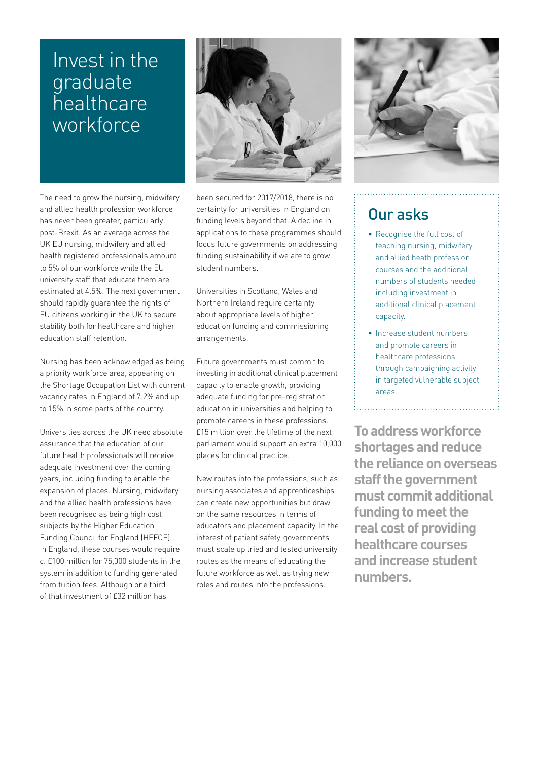## Invest in the graduate healthcare workforce

The need to grow the nursing, midwifery and allied health profession workforce has never been greater, particularly post-Brexit. As an average across the UK EU nursing, midwifery and allied health registered professionals amount to 5% of our workforce while the EU university staff that educate them are estimated at 4.5%. The next government should rapidly guarantee the rights of EU citizens working in the UK to secure stability both for healthcare and higher education staff retention.

Nursing has been acknowledged as being a priority workforce area, appearing on the Shortage Occupation List with current vacancy rates in England of 7.2% and up to 15% in some parts of the country.

Universities across the UK need absolute assurance that the education of our future health professionals will receive adequate investment over the coming years, including funding to enable the expansion of places. Nursing, midwifery and the allied health professions have been recognised as being high cost subjects by the Higher Education Funding Council for England (HEFCE). In England, these courses would require c. £100 million for 75,000 students in the system in addition to funding generated from tuition fees. Although one third of that investment of £32 million has



been secured for 2017/2018, there is no certainty for universities in England on funding levels beyond that. A decline in applications to these programmes should focus future governments on addressing funding sustainability if we are to grow student numbers.

Universities in Scotland, Wales and Northern Ireland require certainty about appropriate levels of higher education funding and commissioning arrangements.

Future governments must commit to investing in additional clinical placement capacity to enable growth, providing adequate funding for pre-registration education in universities and helping to promote careers in these professions. £15 million over the lifetime of the next parliament would support an extra 10,000 places for clinical practice.

New routes into the professions, such as nursing associates and apprenticeships can create new opportunities but draw on the same resources in terms of educators and placement capacity. In the interest of patient safety, governments must scale up tried and tested university routes as the means of educating the future workforce as well as trying new roles and routes into the professions.



## Our asks

- Recognise the full cost of teaching nursing, midwifery and allied heath profession courses and the additional numbers of students needed including investment in additional clinical placement capacity.
- Increase student numbers and promote careers in healthcare professions through campaigning activity in targeted vulnerable subject areas.

**To address workforce shortages and reduce the reliance on overseas staff the government must commit additional funding to meet the real cost of providing healthcare courses and increase student numbers.**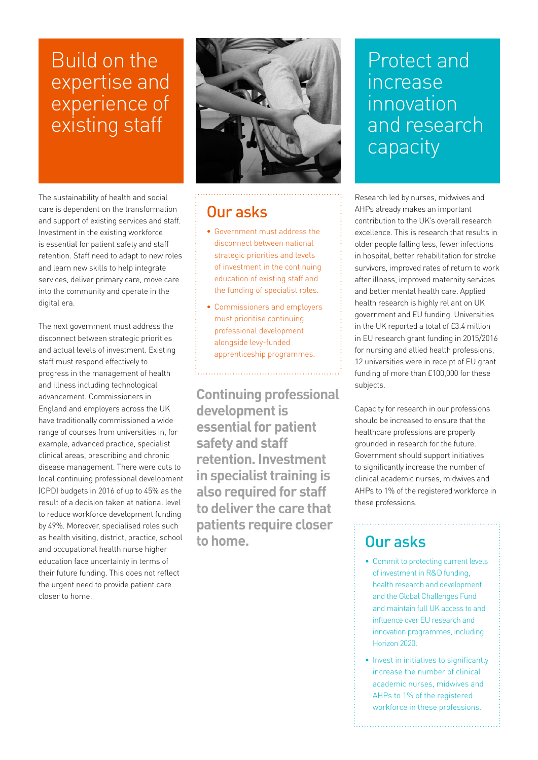## Build on the expertise and experience of existing staff

The sustainability of health and social care is dependent on the transformation and support of existing services and staff. Investment in the existing workforce is essential for patient safety and staff retention. Staff need to adapt to new roles and learn new skills to help integrate services, deliver primary care, move care into the community and operate in the digital era.

The next government must address the disconnect between strategic priorities and actual levels of investment. Existing staff must respond effectively to progress in the management of health and illness including technological advancement. Commissioners in England and employers across the UK have traditionally commissioned a wide range of courses from universities in, for example, advanced practice, specialist clinical areas, prescribing and chronic disease management. There were cuts to local continuing professional development (CPD) budgets in 2016 of up to 45% as the result of a decision taken at national level to reduce workforce development funding by 49%. Moreover, specialised roles such as health visiting, district, practice, school and occupational health nurse higher education face uncertainty in terms of their future funding. This does not reflect the urgent need to provide patient care closer to home.



#### Our asks

- • Government must address the disconnect between national strategic priorities and levels of investment in the continuing education of existing staff and the funding of specialist roles.
- • Commissioners and employers must prioritise continuing professional development alongside levy-funded apprenticeship programmes.

**Continuing professional development is essential for patient safety and staff retention. Investment in specialist training is also required for staff to deliver the care that patients require closer to home.** 

## Protect and increase innovation and research capacity

Research led by nurses, midwives and AHPs already makes an important contribution to the UK's overall research excellence. This is research that results in older people falling less, fewer infections in hospital, better rehabilitation for stroke survivors, improved rates of return to work after illness, improved maternity services and better mental health care. Applied health research is highly reliant on UK government and EU funding. Universities in the UK reported a total of £3.4 million in EU research grant funding in 2015/2016 for nursing and allied health professions, 12 universities were in receipt of EU grant funding of more than £100,000 for these subjects.

Capacity for research in our professions should be increased to ensure that the healthcare professions are properly grounded in research for the future. Government should support initiatives to significantly increase the number of clinical academic nurses, midwives and AHPs to 1% of the registered workforce in these professions.

## Our asks

- Commit to protecting current levels of investment in R&D funding, health research and development and the Global Challenges Fund and maintain full UK access to and influence over EU research and innovation programmes, including Horizon 2020.
- Invest in initiatives to significantly increase the number of clinical academic nurses, midwives and AHPs to 1% of the registered workforce in these professions.